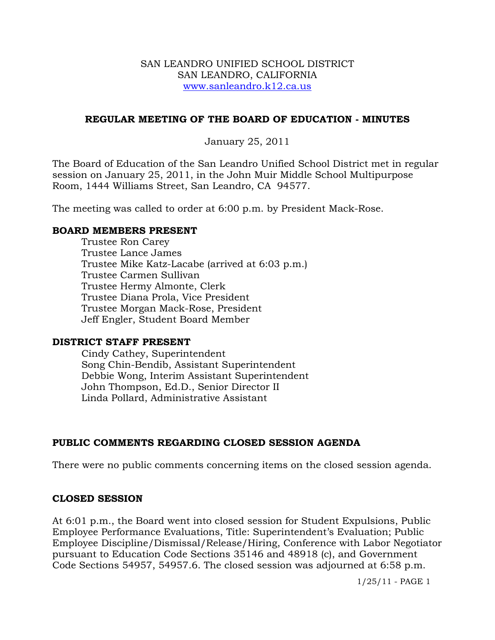#### SAN LEANDRO UNIFIED SCHOOL DISTRICT SAN LEANDRO, CALIFORNIA www.sanleandro.k12.ca.us

#### **REGULAR MEETING OF THE BOARD OF EDUCATION - MINUTES**

#### January 25, 2011

The Board of Education of the San Leandro Unified School District met in regular session on January 25, 2011, in the John Muir Middle School Multipurpose Room, 1444 Williams Street, San Leandro, CA 94577.

The meeting was called to order at 6:00 p.m. by President Mack-Rose.

#### **BOARD MEMBERS PRESENT**

Trustee Ron Carey Trustee Lance James Trustee Mike Katz-Lacabe (arrived at 6:03 p.m.) Trustee Carmen Sullivan Trustee Hermy Almonte, Clerk Trustee Diana Prola, Vice President Trustee Morgan Mack-Rose, President Jeff Engler, Student Board Member

#### **DISTRICT STAFF PRESENT**

Cindy Cathey, Superintendent Song Chin-Bendib, Assistant Superintendent Debbie Wong, Interim Assistant Superintendent John Thompson, Ed.D., Senior Director II Linda Pollard, Administrative Assistant

## **PUBLIC COMMENTS REGARDING CLOSED SESSION AGENDA**

There were no public comments concerning items on the closed session agenda.

## **CLOSED SESSION**

At 6:01 p.m., the Board went into closed session for Student Expulsions, Public Employee Performance Evaluations, Title: Superintendent's Evaluation; Public Employee Discipline/Dismissal/Release/Hiring, Conference with Labor Negotiator pursuant to Education Code Sections 35146 and 48918 (c), and Government Code Sections 54957, 54957.6. The closed session was adjourned at 6:58 p.m.

1/25/11 - PAGE 1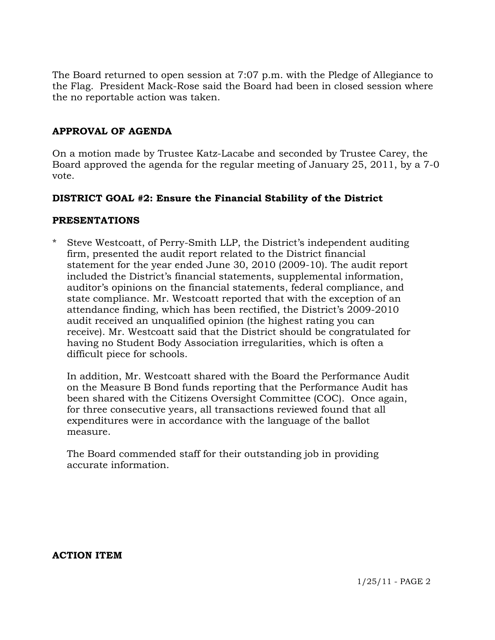The Board returned to open session at 7:07 p.m. with the Pledge of Allegiance to the Flag. President Mack-Rose said the Board had been in closed session where the no reportable action was taken.

# **APPROVAL OF AGENDA**

On a motion made by Trustee Katz-Lacabe and seconded by Trustee Carey, the Board approved the agenda for the regular meeting of January 25, 2011, by a 7-0 vote.

## **DISTRICT GOAL #2: Ensure the Financial Stability of the District**

#### **PRESENTATIONS**

Steve Westcoatt, of Perry-Smith LLP, the District's independent auditing firm, presented the audit report related to the District financial statement for the year ended June 30, 2010 (2009-10). The audit report included the District's financial statements, supplemental information, auditor's opinions on the financial statements, federal compliance, and state compliance. Mr. Westcoatt reported that with the exception of an attendance finding, which has been rectified, the District's 2009-2010 audit received an unqualified opinion (the highest rating you can receive). Mr. Westcoatt said that the District should be congratulated for having no Student Body Association irregularities, which is often a difficult piece for schools.

 In addition, Mr. Westcoatt shared with the Board the Performance Audit on the Measure B Bond funds reporting that the Performance Audit has been shared with the Citizens Oversight Committee (COC). Once again, for three consecutive years, all transactions reviewed found that all expenditures were in accordance with the language of the ballot measure.

 The Board commended staff for their outstanding job in providing accurate information.

**ACTION ITEM**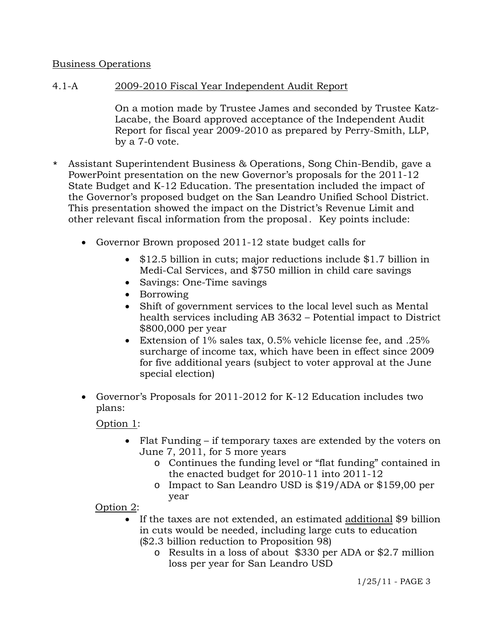# Business Operations

# 4.1-A 2009-2010 Fiscal Year Independent Audit Report

On a motion made by Trustee James and seconded by Trustee Katz-Lacabe, the Board approved acceptance of the Independent Audit Report for fiscal year 2009-2010 as prepared by Perry-Smith, LLP, by a 7-0 vote.

- \* Assistant Superintendent Business & Operations, Song Chin-Bendib, gave a PowerPoint presentation on the new Governor's proposals for the 2011-12 State Budget and K-12 Education. The presentation included the impact of the Governor's proposed budget on the San Leandro Unified School District. This presentation showed the impact on the District's Revenue Limit and other relevant fiscal information from the proposal. Key points include:
	- Governor Brown proposed 2011-12 state budget calls for
		- \$12.5 billion in cuts; major reductions include \$1.7 billion in Medi-Cal Services, and \$750 million in child care savings
		- Savings: One-Time savings
		- Borrowing
		- Shift of government services to the local level such as Mental health services including AB 3632 – Potential impact to District \$800,000 per year
		- Extension of 1% sales tax, 0.5% vehicle license fee, and .25% surcharge of income tax, which have been in effect since 2009 for five additional years (subject to voter approval at the June special election)
	- Governor's Proposals for 2011-2012 for K-12 Education includes two plans:

Option 1:

- Flat Funding if temporary taxes are extended by the voters on June 7, 2011, for 5 more years
	- o Continues the funding level or "flat funding" contained in the enacted budget for 2010-11 into 2011-12
	- o Impact to San Leandro USD is \$19/ADA or \$159,00 per year

Option 2:

- If the taxes are not extended, an estimated additional \$9 billion in cuts would be needed, including large cuts to education (\$2.3 billion reduction to Proposition 98)
	- o Results in a loss of about \$330 per ADA or \$2.7 million loss per year for San Leandro USD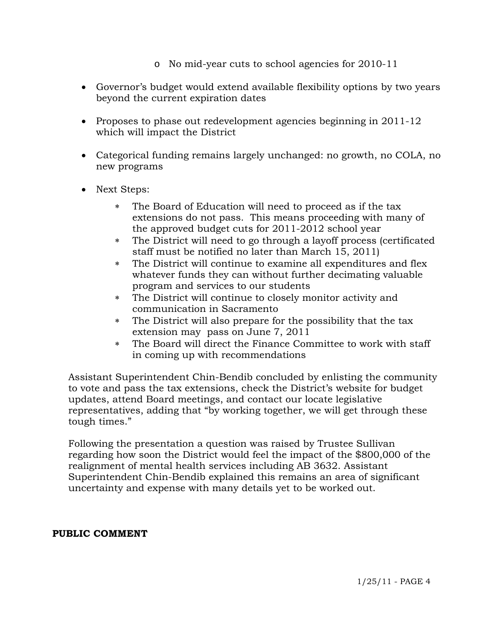- o No mid-year cuts to school agencies for 2010-11
- Governor's budget would extend available flexibility options by two years beyond the current expiration dates
- Proposes to phase out redevelopment agencies beginning in  $2011-12$ which will impact the District
- Categorical funding remains largely unchanged: no growth, no COLA, no new programs
- Next Steps:
	- The Board of Education will need to proceed as if the tax extensions do not pass. This means proceeding with many of the approved budget cuts for 2011-2012 school year
	- The District will need to go through a layoff process (certificated staff must be notified no later than March 15, 2011)
	- The District will continue to examine all expenditures and flex whatever funds they can without further decimating valuable program and services to our students
	- The District will continue to closely monitor activity and communication in Sacramento
	- The District will also prepare for the possibility that the tax extension may pass on June 7, 2011
	- The Board will direct the Finance Committee to work with staff in coming up with recommendations

 Assistant Superintendent Chin-Bendib concluded by enlisting the community to vote and pass the tax extensions, check the District's website for budget updates, attend Board meetings, and contact our locate legislative representatives, adding that "by working together, we will get through these tough times."

 Following the presentation a question was raised by Trustee Sullivan regarding how soon the District would feel the impact of the \$800,000 of the realignment of mental health services including AB 3632. Assistant Superintendent Chin-Bendib explained this remains an area of significant uncertainty and expense with many details yet to be worked out.

## **PUBLIC COMMENT**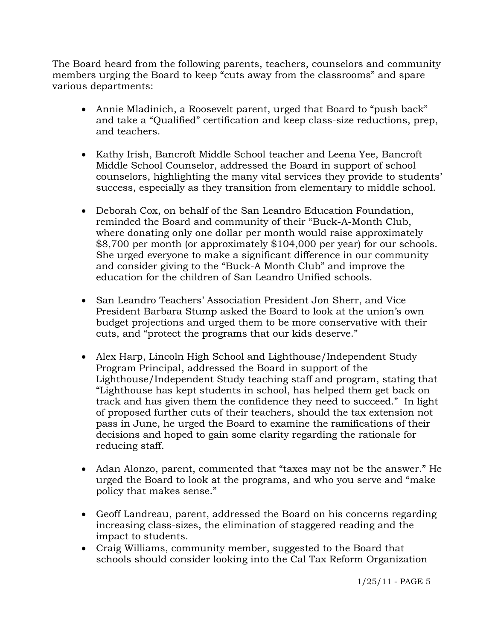The Board heard from the following parents, teachers, counselors and community members urging the Board to keep "cuts away from the classrooms" and spare various departments:

- Annie Mladinich, a Roosevelt parent, urged that Board to "push back" and take a "Qualified" certification and keep class-size reductions, prep, and teachers.
- Kathy Irish, Bancroft Middle School teacher and Leena Yee, Bancroft Middle School Counselor, addressed the Board in support of school counselors, highlighting the many vital services they provide to students' success, especially as they transition from elementary to middle school.
- Deborah Cox, on behalf of the San Leandro Education Foundation, reminded the Board and community of their "Buck-A-Month Club, where donating only one dollar per month would raise approximately \$8,700 per month (or approximately \$104,000 per year) for our schools. She urged everyone to make a significant difference in our community and consider giving to the "Buck-A Month Club" and improve the education for the children of San Leandro Unified schools.
- San Leandro Teachers' Association President Jon Sherr, and Vice President Barbara Stump asked the Board to look at the union's own budget projections and urged them to be more conservative with their cuts, and "protect the programs that our kids deserve."
- Alex Harp, Lincoln High School and Lighthouse/Independent Study Program Principal, addressed the Board in support of the Lighthouse/Independent Study teaching staff and program, stating that "Lighthouse has kept students in school, has helped them get back on track and has given them the confidence they need to succeed." In light of proposed further cuts of their teachers, should the tax extension not pass in June, he urged the Board to examine the ramifications of their decisions and hoped to gain some clarity regarding the rationale for reducing staff.
- Adan Alonzo, parent, commented that "taxes may not be the answer." He urged the Board to look at the programs, and who you serve and "make policy that makes sense."
- Geoff Landreau, parent, addressed the Board on his concerns regarding increasing class-sizes, the elimination of staggered reading and the impact to students.
- Craig Williams, community member, suggested to the Board that schools should consider looking into the Cal Tax Reform Organization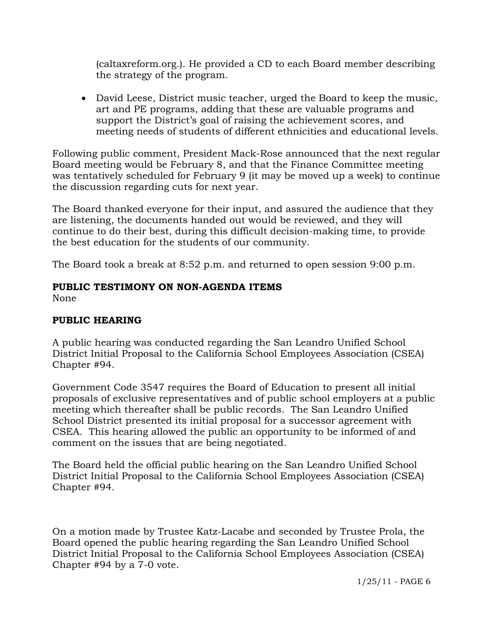(caltaxreform.org.). He provided a CD to each Board member describing the strategy of the program.

 David Leese, District music teacher, urged the Board to keep the music, art and PE programs, adding that these are valuable programs and support the District's goal of raising the achievement scores, and meeting needs of students of different ethnicities and educational levels.

Following public comment, President Mack-Rose announced that the next regular Board meeting would be February 8, and that the Finance Committee meeting was tentatively scheduled for February 9 (it may be moved up a week) to continue the discussion regarding cuts for next year.

The Board thanked everyone for their input, and assured the audience that they are listening, the documents handed out would be reviewed, and they will continue to do their best, during this difficult decision-making time, to provide the best education for the students of our community.

The Board took a break at 8:52 p.m. and returned to open session 9:00 p.m.

# **PUBLIC TESTIMONY ON NON-AGENDA ITEMS**

None

# **PUBLIC HEARING**

A public hearing was conducted regarding the San Leandro Unified School District Initial Proposal to the California School Employees Association (CSEA) Chapter #94.

Government Code 3547 requires the Board of Education to present all initial proposals of exclusive representatives and of public school employers at a public meeting which thereafter shall be public records. The San Leandro Unified School District presented its initial proposal for a successor agreement with CSEA. This hearing allowed the public an opportunity to be informed of and comment on the issues that are being negotiated.

The Board held the official public hearing on the San Leandro Unified School District Initial Proposal to the California School Employees Association (CSEA) Chapter #94.

On a motion made by Trustee Katz-Lacabe and seconded by Trustee Prola, the Board opened the public hearing regarding the San Leandro Unified School District Initial Proposal to the California School Employees Association (CSEA) Chapter #94 by a 7-0 vote.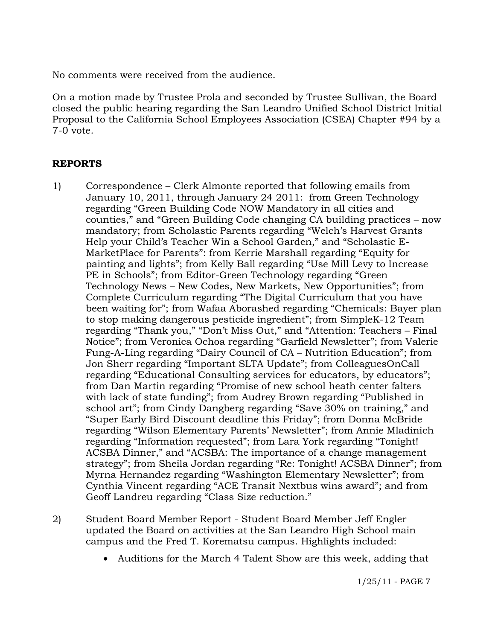No comments were received from the audience.

On a motion made by Trustee Prola and seconded by Trustee Sullivan, the Board closed the public hearing regarding the San Leandro Unified School District Initial Proposal to the California School Employees Association (CSEA) Chapter #94 by a 7-0 vote.

## **REPORTS**

- 1) Correspondence Clerk Almonte reported that following emails from January 10, 2011, through January 24 2011: from Green Technology regarding "Green Building Code NOW Mandatory in all cities and counties," and "Green Building Code changing CA building practices – now mandatory; from Scholastic Parents regarding "Welch's Harvest Grants Help your Child's Teacher Win a School Garden," and "Scholastic E-MarketPlace for Parents": from Kerrie Marshall regarding "Equity for painting and lights"; from Kelly Ball regarding "Use Mill Levy to Increase PE in Schools"; from Editor-Green Technology regarding "Green Technology News – New Codes, New Markets, New Opportunities"; from Complete Curriculum regarding "The Digital Curriculum that you have been waiting for"; from Wafaa Aborashed regarding "Chemicals: Bayer plan to stop making dangerous pesticide ingredient"; from SimpleK-12 Team regarding "Thank you," "Don't Miss Out," and "Attention: Teachers – Final Notice"; from Veronica Ochoa regarding "Garfield Newsletter"; from Valerie Fung-A-Ling regarding "Dairy Council of CA – Nutrition Education"; from Jon Sherr regarding "Important SLTA Update"; from ColleaguesOnCall regarding "Educational Consulting services for educators, by educators"; from Dan Martin regarding "Promise of new school heath center falters with lack of state funding"; from Audrey Brown regarding "Published in school art"; from Cindy Dangberg regarding "Save 30% on training," and "Super Early Bird Discount deadline this Friday"; from Donna McBride regarding "Wilson Elementary Parents' Newsletter"; from Annie Mladinich regarding "Information requested"; from Lara York regarding "Tonight! ACSBA Dinner," and "ACSBA: The importance of a change management strategy"; from Sheila Jordan regarding "Re: Tonight! ACSBA Dinner"; from Myrna Hernandez regarding "Washington Elementary Newsletter"; from Cynthia Vincent regarding "ACE Transit Nextbus wins award"; and from Geoff Landreu regarding "Class Size reduction."
- 2) Student Board Member Report Student Board Member Jeff Engler updated the Board on activities at the San Leandro High School main campus and the Fred T. Korematsu campus. Highlights included:
	- Auditions for the March 4 Talent Show are this week, adding that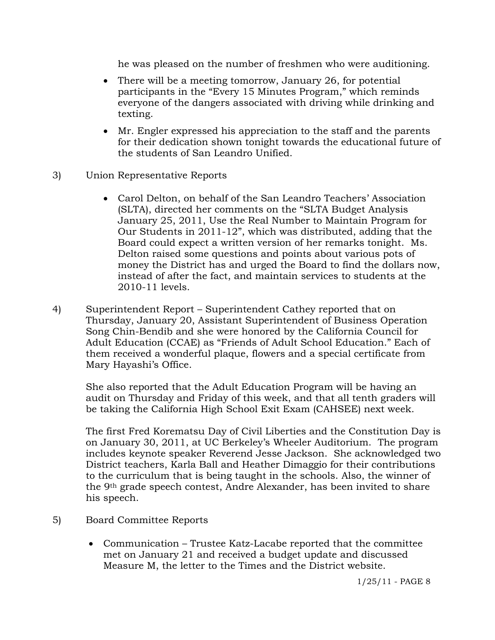he was pleased on the number of freshmen who were auditioning.

- There will be a meeting tomorrow, January 26, for potential participants in the "Every 15 Minutes Program," which reminds everyone of the dangers associated with driving while drinking and texting.
- Mr. Engler expressed his appreciation to the staff and the parents for their dedication shown tonight towards the educational future of the students of San Leandro Unified.
- 3) Union Representative Reports
	- Carol Delton, on behalf of the San Leandro Teachers' Association (SLTA), directed her comments on the "SLTA Budget Analysis January 25, 2011, Use the Real Number to Maintain Program for Our Students in 2011-12", which was distributed, adding that the Board could expect a written version of her remarks tonight. Ms. Delton raised some questions and points about various pots of money the District has and urged the Board to find the dollars now, instead of after the fact, and maintain services to students at the 2010-11 levels.
- 4) Superintendent Report Superintendent Cathey reported that on Thursday, January 20, Assistant Superintendent of Business Operation Song Chin-Bendib and she were honored by the California Council for Adult Education (CCAE) as "Friends of Adult School Education." Each of them received a wonderful plaque, flowers and a special certificate from Mary Hayashi's Office.

She also reported that the Adult Education Program will be having an audit on Thursday and Friday of this week, and that all tenth graders will be taking the California High School Exit Exam (CAHSEE) next week.

The first Fred Korematsu Day of Civil Liberties and the Constitution Day is on January 30, 2011, at UC Berkeley's Wheeler Auditorium. The program includes keynote speaker Reverend Jesse Jackson. She acknowledged two District teachers, Karla Ball and Heather Dimaggio for their contributions to the curriculum that is being taught in the schools. Also, the winner of the 9th grade speech contest, Andre Alexander, has been invited to share his speech.

- 5) Board Committee Reports
	- Communication Trustee Katz-Lacabe reported that the committee met on January 21 and received a budget update and discussed Measure M, the letter to the Times and the District website.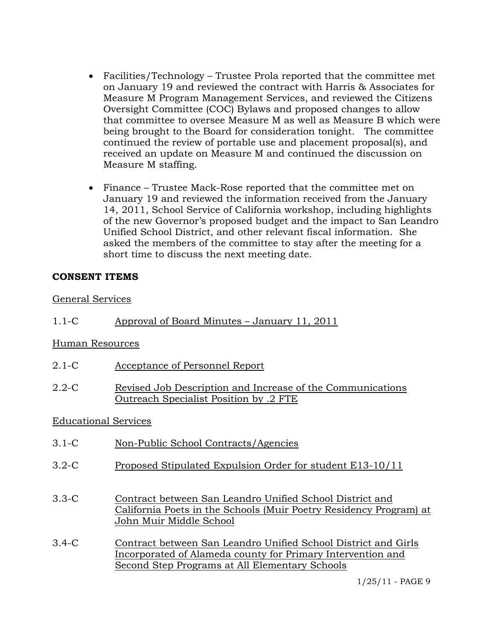- Facilities/Technology Trustee Prola reported that the committee met on January 19 and reviewed the contract with Harris & Associates for Measure M Program Management Services, and reviewed the Citizens Oversight Committee (COC) Bylaws and proposed changes to allow that committee to oversee Measure M as well as Measure B which were being brought to the Board for consideration tonight. The committee continued the review of portable use and placement proposal(s), and received an update on Measure M and continued the discussion on Measure M staffing.
- Finance Trustee Mack-Rose reported that the committee met on January 19 and reviewed the information received from the January 14, 2011, School Service of California workshop, including highlights of the new Governor's proposed budget and the impact to San Leandro Unified School District, and other relevant fiscal information. She asked the members of the committee to stay after the meeting for a short time to discuss the next meeting date.

## **CONSENT ITEMS**

## General Services

1.1-C Approval of Board Minutes – January 11, 2011

## Human Resources

- 2.1-C Acceptance of Personnel Report
- 2.2-C Revised Job Description and Increase of the Communications Outreach Specialist Position by .2 FTE

## Educational Services

- 3.1-C Non-Public School Contracts/Agencies
- 3.2-C Proposed Stipulated Expulsion Order for student E13-10/11
- 3.3-C Contract between San Leandro Unified School District and California Poets in the Schools (Muir Poetry Residency Program) at John Muir Middle School
- 3.4-C Contract between San Leandro Unified School District and Girls Incorporated of Alameda county for Primary Intervention and Second Step Programs at All Elementary Schools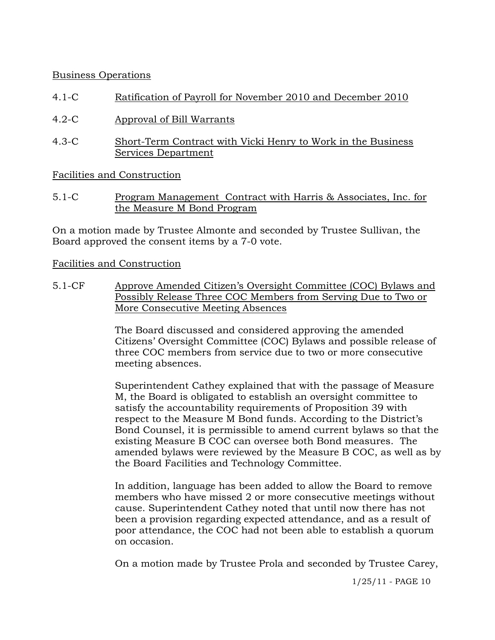# Business Operations

- 4.1-C Ratification of Payroll for November 2010 and December 2010
- 4.2-C Approval of Bill Warrants
- 4.3-C Short-Term Contract with Vicki Henry to Work in the Business Services Department

Facilities and Construction

5.1-C Program Management Contract with Harris & Associates, Inc. for the Measure M Bond Program

On a motion made by Trustee Almonte and seconded by Trustee Sullivan, the Board approved the consent items by a 7-0 vote.

## Facilities and Construction

5.1-CF Approve Amended Citizen's Oversight Committee (COC) Bylaws and Possibly Release Three COC Members from Serving Due to Two or More Consecutive Meeting Absences

> The Board discussed and considered approving the amended Citizens' Oversight Committee (COC) Bylaws and possible release of three COC members from service due to two or more consecutive meeting absences.

Superintendent Cathey explained that with the passage of Measure M, the Board is obligated to establish an oversight committee to satisfy the accountability requirements of Proposition 39 with respect to the Measure M Bond funds. According to the District's Bond Counsel, it is permissible to amend current bylaws so that the existing Measure B COC can oversee both Bond measures. The amended bylaws were reviewed by the Measure B COC, as well as by the Board Facilities and Technology Committee.

In addition, language has been added to allow the Board to remove members who have missed 2 or more consecutive meetings without cause. Superintendent Cathey noted that until now there has not been a provision regarding expected attendance, and as a result of poor attendance, the COC had not been able to establish a quorum on occasion.

On a motion made by Trustee Prola and seconded by Trustee Carey,

1/25/11 - PAGE 10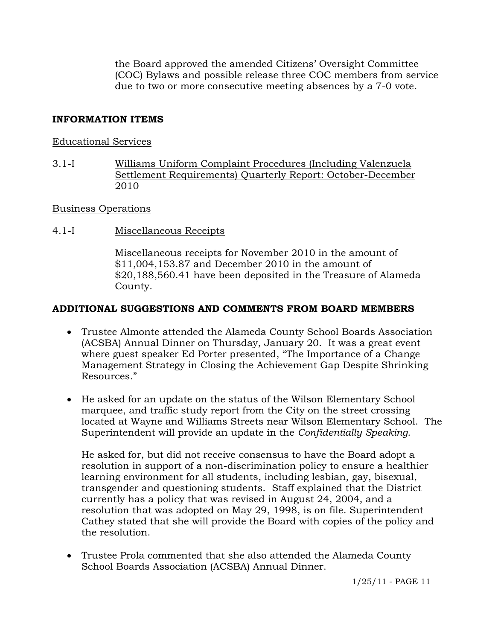the Board approved the amended Citizens' Oversight Committee (COC) Bylaws and possible release three COC members from service due to two or more consecutive meeting absences by a 7-0 vote.

# **INFORMATION ITEMS**

#### Educational Services

3.1-I Williams Uniform Complaint Procedures (Including Valenzuela Settlement Requirements) Quarterly Report: October-December 2010

## Business Operations

4.1-I Miscellaneous Receipts

Miscellaneous receipts for November 2010 in the amount of \$11,004,153.87 and December 2010 in the amount of \$20,188,560.41 have been deposited in the Treasure of Alameda County.

## **ADDITIONAL SUGGESTIONS AND COMMENTS FROM BOARD MEMBERS**

- Trustee Almonte attended the Alameda County School Boards Association (ACSBA) Annual Dinner on Thursday, January 20. It was a great event where guest speaker Ed Porter presented, "The Importance of a Change Management Strategy in Closing the Achievement Gap Despite Shrinking Resources."
- He asked for an update on the status of the Wilson Elementary School marquee, and traffic study report from the City on the street crossing located at Wayne and Williams Streets near Wilson Elementary School. The Superintendent will provide an update in the *Confidentially Speaking.*

He asked for, but did not receive consensus to have the Board adopt a resolution in support of a non-discrimination policy to ensure a healthier learning environment for all students, including lesbian, gay, bisexual, transgender and questioning students. Staff explained that the District currently has a policy that was revised in August 24, 2004, and a resolution that was adopted on May 29, 1998, is on file. Superintendent Cathey stated that she will provide the Board with copies of the policy and the resolution.

 Trustee Prola commented that she also attended the Alameda County School Boards Association (ACSBA) Annual Dinner.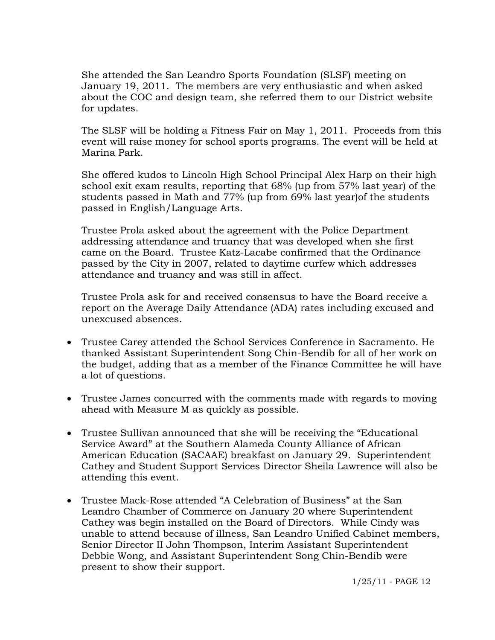She attended the San Leandro Sports Foundation (SLSF) meeting on January 19, 2011. The members are very enthusiastic and when asked about the COC and design team, she referred them to our District website for updates.

The SLSF will be holding a Fitness Fair on May 1, 2011. Proceeds from this event will raise money for school sports programs. The event will be held at Marina Park.

She offered kudos to Lincoln High School Principal Alex Harp on their high school exit exam results, reporting that 68% (up from 57% last year) of the students passed in Math and 77% (up from 69% last year)of the students passed in English/Language Arts.

 Trustee Prola asked about the agreement with the Police Department addressing attendance and truancy that was developed when she first came on the Board. Trustee Katz-Lacabe confirmed that the Ordinance passed by the City in 2007, related to daytime curfew which addresses attendance and truancy and was still in affect.

Trustee Prola ask for and received consensus to have the Board receive a report on the Average Daily Attendance (ADA) rates including excused and unexcused absences.

- Trustee Carey attended the School Services Conference in Sacramento. He thanked Assistant Superintendent Song Chin-Bendib for all of her work on the budget, adding that as a member of the Finance Committee he will have a lot of questions.
- Trustee James concurred with the comments made with regards to moving ahead with Measure M as quickly as possible.
- Trustee Sullivan announced that she will be receiving the "Educational Service Award" at the Southern Alameda County Alliance of African American Education (SACAAE) breakfast on January 29. Superintendent Cathey and Student Support Services Director Sheila Lawrence will also be attending this event.
- Trustee Mack-Rose attended "A Celebration of Business" at the San Leandro Chamber of Commerce on January 20 where Superintendent Cathey was begin installed on the Board of Directors. While Cindy was unable to attend because of illness, San Leandro Unified Cabinet members, Senior Director II John Thompson, Interim Assistant Superintendent Debbie Wong, and Assistant Superintendent Song Chin-Bendib were present to show their support.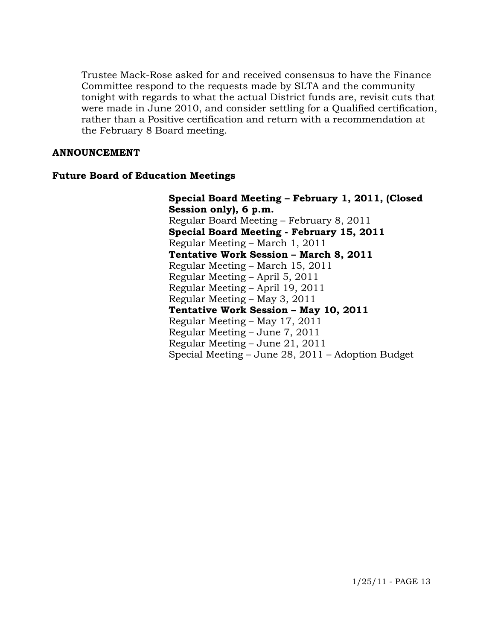Trustee Mack-Rose asked for and received consensus to have the Finance Committee respond to the requests made by SLTA and the community tonight with regards to what the actual District funds are, revisit cuts that were made in June 2010, and consider settling for a Qualified certification, rather than a Positive certification and return with a recommendation at the February 8 Board meeting.

#### **ANNOUNCEMENT**

#### **Future Board of Education Meetings**

**Special Board Meeting – February 1, 2011, (Closed Session only), 6 p.m.**  Regular Board Meeting – February 8, 2011  **Special Board Meeting - February 15, 2011**  Regular Meeting – March 1, 2011  **Tentative Work Session – March 8, 2011**  Regular Meeting – March 15, 2011 Regular Meeting – April 5, 2011 Regular Meeting – April 19, 2011 Regular Meeting – May 3, 2011  **Tentative Work Session – May 10, 2011**  Regular Meeting – May 17, 2011 Regular Meeting – June 7, 2011 Regular Meeting – June 21, 2011 Special Meeting – June 28, 2011 – Adoption Budget